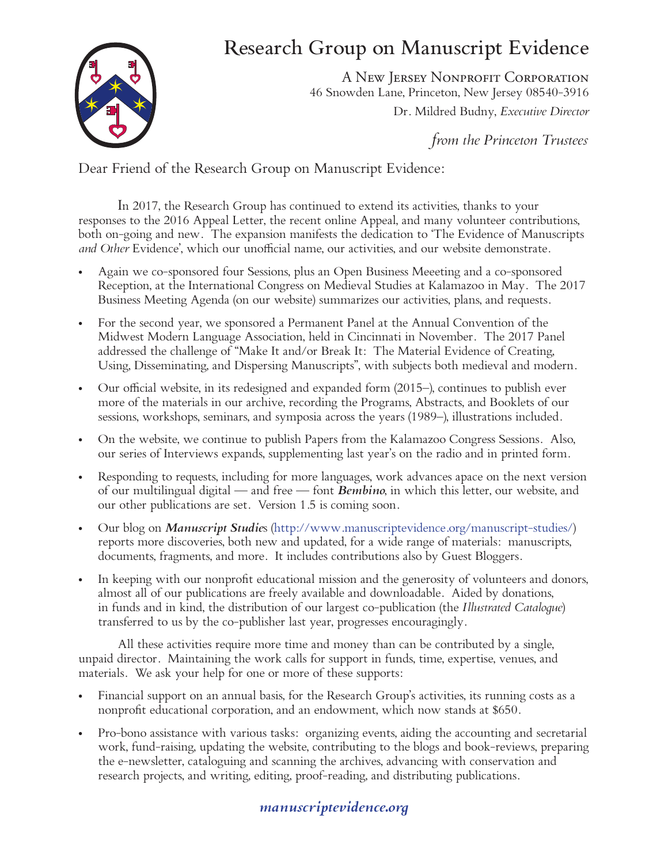## Research Group on Manuscript Evidence



A New Jersey Nonprofit Corporation 46 Snowden Lane, Princeton, New Jersey 08540-3916 Dr. Mildred Budny, *Executive Director*

*from the Princeton Trustees*

Dear Friend of the Research Group on Manuscript Evidence:

In 2017, the Research Group has continued to extend its activities, thanks to your responses to the 2016 Appeal Letter, the recent online Appeal, and many volunteer contributions, both on-going and new. The expansion manifests the dedication to 'The Evidence of Manuscripts *and Other* Evidence', which our unofficial name, our activities, and our website demonstrate.

- Again we co-sponsored four Sessions, plus an Open Business Meeeting and a co-sponsored Reception, at the International Congress on Medieval Studies at Kalamazoo in May. The 2017 Business Meeting Agenda (on our website) summarizes our activities, plans, and requests.
- For the second year, we sponsored a Permanent Panel at the Annual Convention of the Midwest Modern Language Association, held in Cincinnati in November. The 2017 Panel addressed the challenge of "Make It and/or Break It: The Material Evidence of Creating, Using, Disseminating, and Dispersing Manuscripts", with subjects both medieval and modern.
- Our official website, in its redesigned and expanded form  $(2015)$ , continues to publish ever more of the materials in our archive, recording the Programs, Abstracts, and Booklets of our sessions, workshops, seminars, and symposia across the years (1989–), illustrations included.
- On the website, we continue to publish Papers from the Kalamazoo Congress Sessions. Also, our series of Interviews expands, supplementing last year's on the radio and in printed form.
- Responding to requests, including for more languages, work advances apace on the next version of our multilingual digital — and free — font *Bembino*, in which this letter, our website, and our other publications are set. Version 1.5 is coming soon.
- Our blog on *Manuscript Studies* (http://www.manuscriptevidence.org/manuscript-studies/) reports more discoveries, both new and updated, for a wide range of materials: manuscripts, documents, fragments, and more. It includes contributions also by Guest Bloggers.
- In keeping with our nonprofit educational mission and the generosity of volunteers and donors, almost all of our publications are freely available and downloadable. Aided by donations, in funds and in kind, the distribution of our largest co-publication (the *Illustrated Catalogue*) transferred to us by the co-publisher last year, progresses encouragingly.

All these activities require more time and money than can be contributed by a single, unpaid director. Maintaining the work calls for support in funds, time, expertise, venues, and materials. We ask your help for one or more of these supports:

- Financial support on an annual basis, for the Research Group's activities, its running costs as a nonprofit educational corporation, and an endowment, which now stands at \$650.
- Pro-bono assistance with various tasks: organizing events, aiding the accounting and secretarial work, fund-raising, updating the website, contributing to the blogs and book-reviews, preparing the e-newsletter, cataloguing and scanning the archives, advancing with conservation and research projects, and writing, editing, proof-reading, and distributing publications.

## *manuscriptevidence.org*